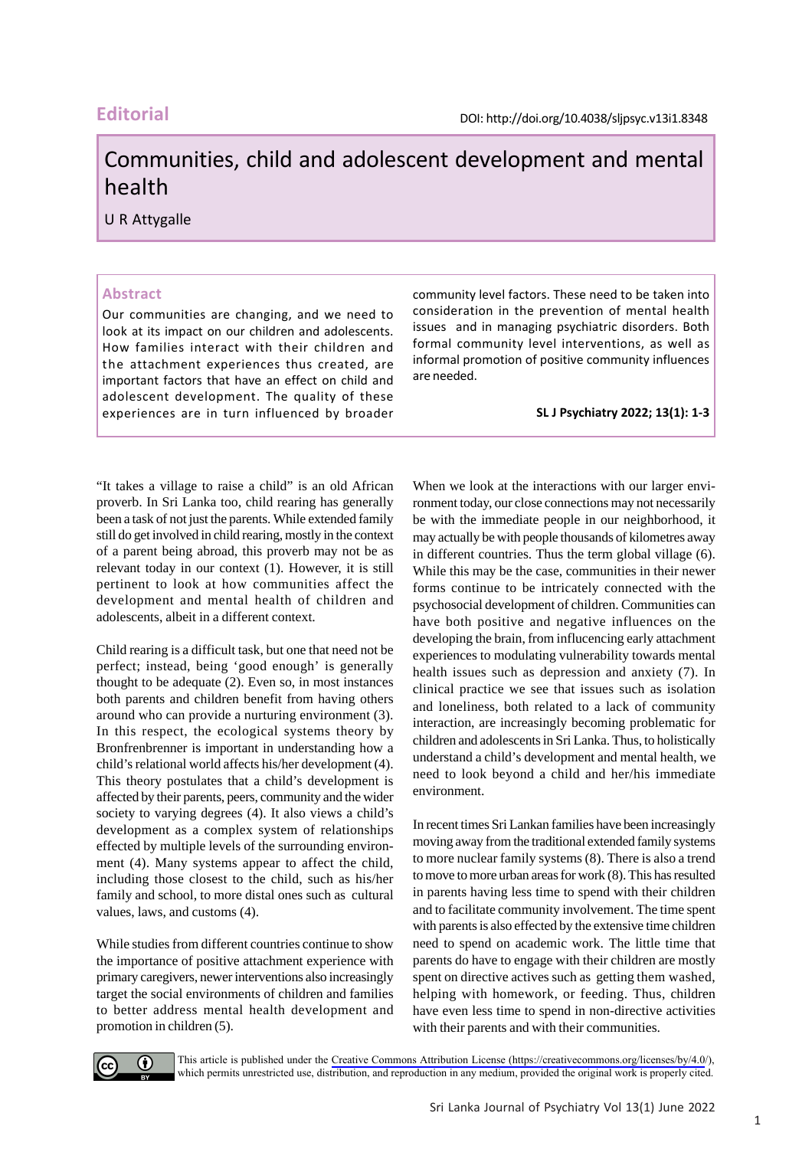# **Editorial**

# Communities, child and adolescent development and mental health

U R Attygalle

### **Abstract**

Our communities are changing, and we need to look at its impact on our children and adolescents. How families interact with their children and the attachment experiences thus created, are important factors that have an effect on child and adolescent development. The quality of these experiences are in turn influenced by broader **SL J Psychiatry 2022; 13(1): 1-3**

community level factors. These need to be taken into consideration in the prevention of mental health issues and in managing psychiatric disorders. Both formal community level interventions, as well as informal promotion of positive community influences are needed.

"It takes a village to raise a child" is an old African proverb. In Sri Lanka too, child rearing has generally been a task of not just the parents. While extended family still do get involved in child rearing, mostly in the context of a parent being abroad, this proverb may not be as relevant today in our context (1). However, it is still pertinent to look at how communities affect the development and mental health of children and adolescents, albeit in a different context.

Child rearing is a difficult task, but one that need not be perfect; instead, being 'good enough' is generally thought to be adequate (2). Even so, in most instances both parents and children benefit from having others around who can provide a nurturing environment (3). In this respect, the ecological systems theory by Bronfrenbrenner is important in understanding how a child's relational world affects his/her development (4). This theory postulates that a child's development is affected by their parents, peers, community and the wider society to varying degrees (4). It also views a child's development as a complex system of relationships effected by multiple levels of the surrounding environment (4). Many systems appear to affect the child, including those closest to the child, such as his/her family and school, to more distal ones such as cultural values, laws, and customs (4).

While studies from different countries continue to show the importance of positive attachment experience with primary caregivers, newer interventions also increasingly target the social environments of children and families to better address mental health development and promotion in children (5).

When we look at the interactions with our larger environment today, our close connections may not necessarily be with the immediate people in our neighborhood, it may actually be with people thousands of kilometres away in different countries. Thus the term global village (6). While this may be the case, communities in their newer forms continue to be intricately connected with the psychosocial development of children. Communities can have both positive and negative influences on the developing the brain, from influcencing early attachment experiences to modulating vulnerability towards mental health issues such as depression and anxiety (7). In clinical practice we see that issues such as isolation and loneliness, both related to a lack of community interaction, are increasingly becoming problematic for children and adolescents in Sri Lanka. Thus, to holistically understand a child's development and mental health, we need to look beyond a child and her/his immediate environment.

In recent times Sri Lankan families have been increasingly moving away from the traditional extended family systems to more nuclear family systems (8). There is also a trend to move to more urban areas for work (8). This has resulted in parents having less time to spend with their children and to facilitate community involvement. The time spent with parents is also effected by the extensive time children need to spend on academic work. The little time that parents do have to engage with their children are mostly spent on directive actives such as getting them washed, helping with homework, or feeding. Thus, children have even less time to spend in non-directive activities with their parents and with their communities.



This article is published under the [Creative Commons Attribution License \(https://creativecommons.org/licenses/by/4.0/](https://creativecommons.org/licenses/by/4.0/)), which permits unrestricted use, distribution, and reproduction in any medium, provided the original work is properly cited.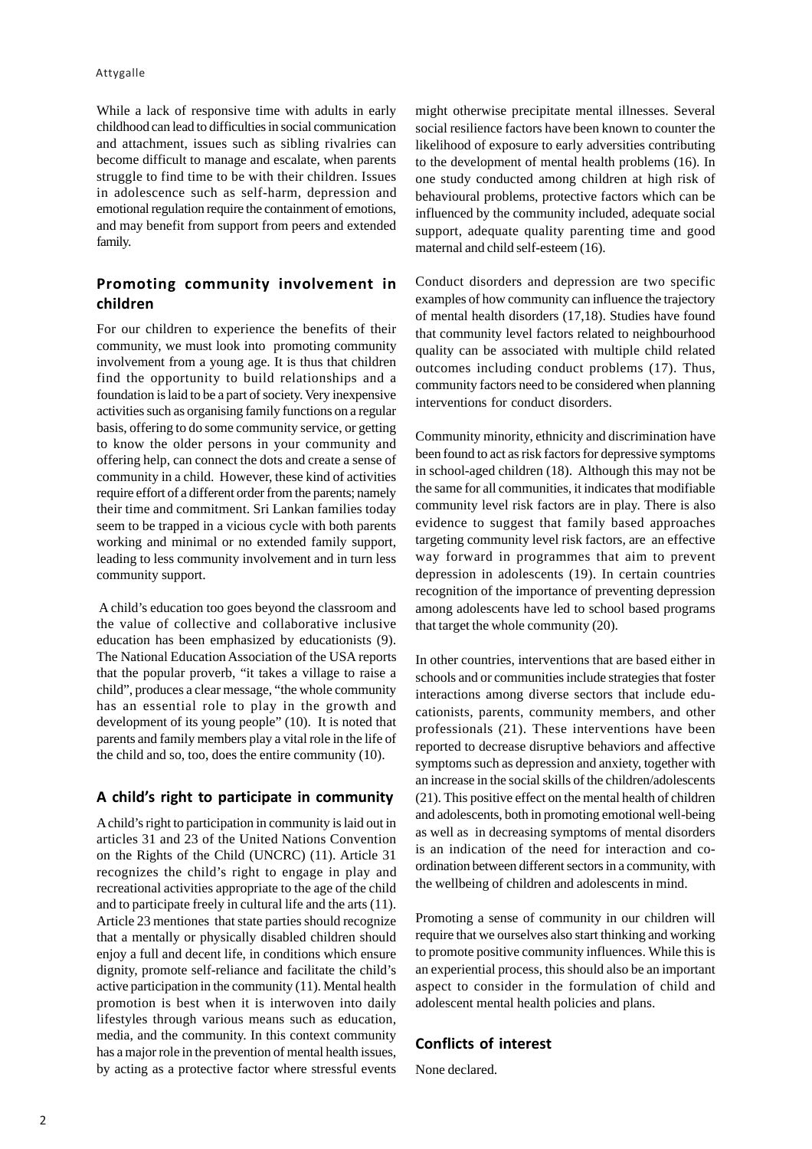While a lack of responsive time with adults in early childhood can lead to difficulties in social communication and attachment, issues such as sibling rivalries can become difficult to manage and escalate, when parents struggle to find time to be with their children. Issues in adolescence such as self-harm, depression and emotional regulation require the containment of emotions, and may benefit from support from peers and extended family.

## **Promoting community involvement in children**

For our children to experience the benefits of their community, we must look into promoting community involvement from a young age. It is thus that children find the opportunity to build relationships and a foundation is laid to be a part of society. Very inexpensive activities such as organising family functions on a regular basis, offering to do some community service, or getting to know the older persons in your community and offering help, can connect the dots and create a sense of community in a child. However, these kind of activities require effort of a different order from the parents; namely their time and commitment. Sri Lankan families today seem to be trapped in a vicious cycle with both parents working and minimal or no extended family support, leading to less community involvement and in turn less community support.

 A child's education too goes beyond the classroom and the value of collective and collaborative inclusive education has been emphasized by educationists (9). The National Education Association of the USA reports that the popular proverb, "it takes a village to raise a child", produces a clear message, "the whole community has an essential role to play in the growth and development of its young people" (10). It is noted that parents and family members play a vital role in the life of the child and so, too, does the entire community (10).

#### **A child's right to participate in community**

A child's right to participation in community is laid out in articles 31 and 23 of the United Nations Convention on the Rights of the Child (UNCRC) (11). Article 31 recognizes the child's right to engage in play and recreational activities appropriate to the age of the child and to participate freely in cultural life and the arts (11). Article 23 mentiones that state parties should recognize that a mentally or physically disabled children should enjoy a full and decent life, in conditions which ensure dignity, promote self-reliance and facilitate the child's active participation in the community (11). Mental health promotion is best when it is interwoven into daily lifestyles through various means such as education, media, and the community. In this context community has a major role in the prevention of mental health issues, by acting as a protective factor where stressful events might otherwise precipitate mental illnesses. Several social resilience factors have been known to counter the likelihood of exposure to early adversities contributing to the development of mental health problems (16). In one study conducted among children at high risk of behavioural problems, protective factors which can be influenced by the community included, adequate social support, adequate quality parenting time and good maternal and child self-esteem (16).

Conduct disorders and depression are two specific examples of how community can influence the trajectory of mental health disorders (17,18). Studies have found that community level factors related to neighbourhood quality can be associated with multiple child related outcomes including conduct problems (17). Thus, community factors need to be considered when planning interventions for conduct disorders.

Community minority, ethnicity and discrimination have been found to act as risk factors for depressive symptoms in school-aged children (18). Although this may not be the same for all communities, it indicates that modifiable community level risk factors are in play. There is also evidence to suggest that family based approaches targeting community level risk factors, are an effective way forward in programmes that aim to prevent depression in adolescents (19). In certain countries recognition of the importance of preventing depression among adolescents have led to school based programs that target the whole community (20).

In other countries, interventions that are based either in schools and or communities include strategies that foster interactions among diverse sectors that include educationists, parents, community members, and other professionals (21). These interventions have been reported to decrease disruptive behaviors and affective symptoms such as depression and anxiety, together with an increase in the social skills of the children/adolescents (21). This positive effect on the mental health of children and adolescents, both in promoting emotional well-being as well as in decreasing symptoms of mental disorders is an indication of the need for interaction and coordination between different sectors in a community, with the wellbeing of children and adolescents in mind.

Promoting a sense of community in our children will require that we ourselves also start thinking and working to promote positive community influences. While this is an experiential process, this should also be an important aspect to consider in the formulation of child and adolescent mental health policies and plans.

#### **Conflicts of interest**

None declared.